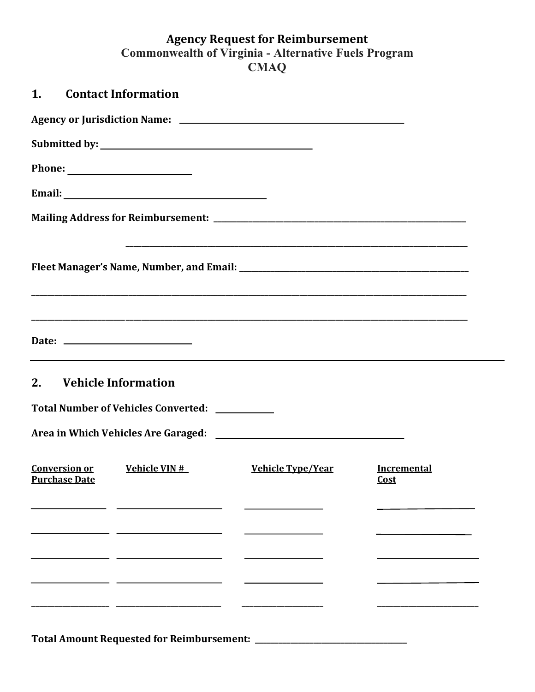## **Agency Request for Reimbursement Commonwealth of Virginia - Alternative Fuels Program CMAQ**

|                      | 1. Contact Information                                                                                               |                          |                            |  |
|----------------------|----------------------------------------------------------------------------------------------------------------------|--------------------------|----------------------------|--|
|                      |                                                                                                                      |                          |                            |  |
|                      |                                                                                                                      |                          |                            |  |
|                      |                                                                                                                      |                          |                            |  |
|                      |                                                                                                                      |                          |                            |  |
|                      |                                                                                                                      |                          |                            |  |
|                      |                                                                                                                      |                          |                            |  |
|                      | <u> 1989 - Johann Stein, marwolaethau a bhann an t-Amhain an t-Amhain an t-Amhain an t-Amhain an t-Amhain an t-A</u> |                          |                            |  |
|                      | 2. Vehicle Information<br>Total Number of Vehicles Converted: _________                                              |                          |                            |  |
|                      |                                                                                                                      |                          |                            |  |
| <b>Purchase Date</b> | <b>Conversion or Vehicle VIN #</b>                                                                                   | <u>Vehicle Type/Year</u> | <b>Incremental</b><br>Cost |  |
|                      |                                                                                                                      |                          |                            |  |
|                      |                                                                                                                      |                          |                            |  |

**Total Amount Requested for Reimbursement: \_\_\_\_\_\_\_\_\_\_\_\_\_\_\_\_\_\_\_\_\_\_\_\_\_\_\_\_\_\_\_\_\_\_\_\_\_\_\_**